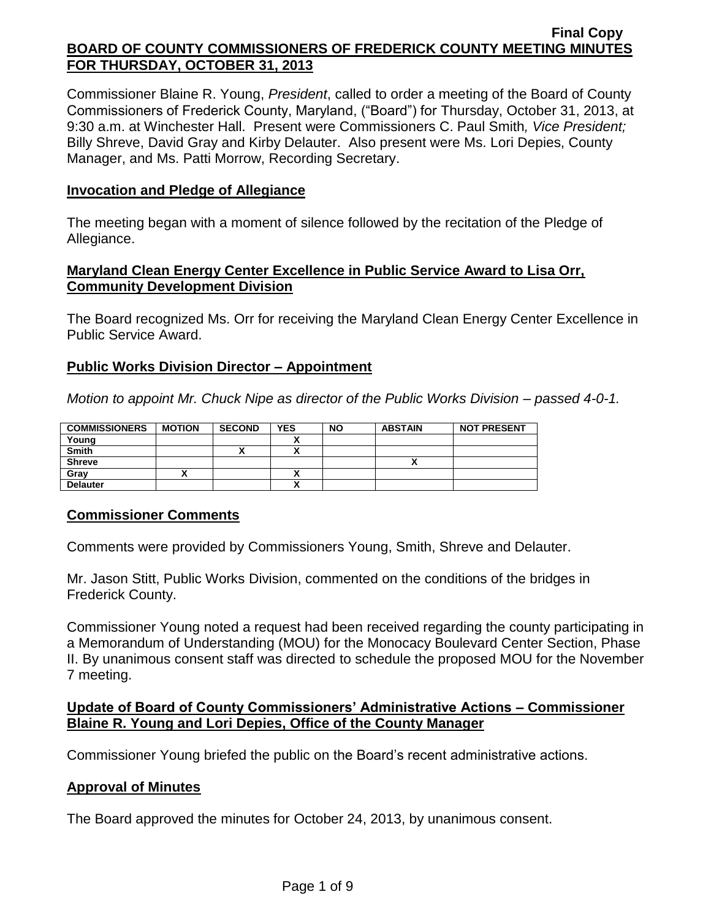Commissioner Blaine R. Young, *President*, called to order a meeting of the Board of County Commissioners of Frederick County, Maryland, ("Board") for Thursday, October 31, 2013, at 9:30 a.m. at Winchester Hall. Present were Commissioners C. Paul Smith*, Vice President;*  Billy Shreve, David Gray and Kirby Delauter. Also present were Ms. Lori Depies, County Manager, and Ms. Patti Morrow, Recording Secretary.

## **Invocation and Pledge of Allegiance**

The meeting began with a moment of silence followed by the recitation of the Pledge of Allegiance.

### **Maryland Clean Energy Center Excellence in Public Service Award to Lisa Orr, Community Development Division**

The Board recognized Ms. Orr for receiving the Maryland Clean Energy Center Excellence in Public Service Award.

## **Public Works Division Director – Appointment**

*Motion to appoint Mr. Chuck Nipe as director of the Public Works Division – passed 4-0-1.*

| <b>COMMISSIONERS</b> | <b>MOTION</b> | <b>SECOND</b> | <b>YES</b> | <b>NO</b> | <b>ABSTAIN</b> | <b>NOT PRESENT</b> |
|----------------------|---------------|---------------|------------|-----------|----------------|--------------------|
| Young                |               |               |            |           |                |                    |
| <b>Smith</b>         |               |               | v          |           |                |                    |
| <b>Shreve</b>        |               |               |            |           |                |                    |
| Grav                 |               |               | ^          |           |                |                    |
| <b>Delauter</b>      |               |               | Λ          |           |                |                    |

## **Commissioner Comments**

Comments were provided by Commissioners Young, Smith, Shreve and Delauter.

Mr. Jason Stitt, Public Works Division, commented on the conditions of the bridges in Frederick County.

Commissioner Young noted a request had been received regarding the county participating in a Memorandum of Understanding (MOU) for the Monocacy Boulevard Center Section, Phase II. By unanimous consent staff was directed to schedule the proposed MOU for the November 7 meeting.

## **Update of Board of County Commissioners' Administrative Actions – Commissioner Blaine R. Young and Lori Depies, Office of the County Manager**

Commissioner Young briefed the public on the Board's recent administrative actions.

## **Approval of Minutes**

The Board approved the minutes for October 24, 2013, by unanimous consent.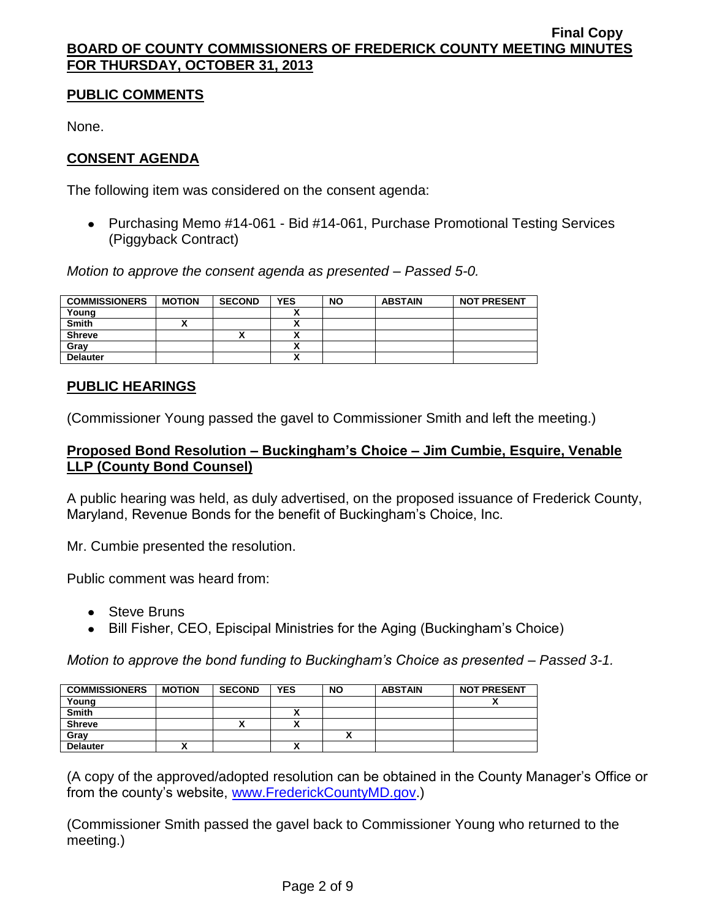# **PUBLIC COMMENTS**

None.

# **CONSENT AGENDA**

The following item was considered on the consent agenda:

Purchasing Memo #14-061 - Bid #14-061, Purchase Promotional Testing Services (Piggyback Contract)

*Motion to approve the consent agenda as presented – Passed 5-0.*

| <b>COMMISSIONERS</b> | <b>MOTION</b> | <b>SECOND</b> | <b>YES</b>               | <b>NO</b> | <b>ABSTAIN</b> | <b>NOT PRESENT</b> |
|----------------------|---------------|---------------|--------------------------|-----------|----------------|--------------------|
| Young                |               |               |                          |           |                |                    |
| <b>Smith</b>         |               |               |                          |           |                |                    |
| <b>Shreve</b>        |               |               |                          |           |                |                    |
| Gray                 |               |               |                          |           |                |                    |
| <b>Delauter</b>      |               |               | $\overline{\phantom{a}}$ |           |                |                    |

## **PUBLIC HEARINGS**

(Commissioner Young passed the gavel to Commissioner Smith and left the meeting.)

## **Proposed Bond Resolution – Buckingham's Choice – Jim Cumbie, Esquire, Venable LLP (County Bond Counsel)**

A public hearing was held, as duly advertised, on the proposed issuance of Frederick County, Maryland, Revenue Bonds for the benefit of Buckingham's Choice, Inc.

Mr. Cumbie presented the resolution.

Public comment was heard from:

- Steve Bruns
- Bill Fisher, CEO, Episcipal Ministries for the Aging (Buckingham's Choice)

*Motion to approve the bond funding to Buckingham's Choice as presented – Passed 3-1.*

| <b>COMMISSIONERS</b> | <b>MOTION</b> | <b>SECOND</b> | <b>YES</b>   | <b>NO</b> | <b>ABSTAIN</b> | <b>NOT PRESENT</b> |
|----------------------|---------------|---------------|--------------|-----------|----------------|--------------------|
| Young                |               |               |              |           |                | ,,                 |
| <b>Smith</b>         |               |               | $\mathbf{v}$ |           |                |                    |
| <b>Shreve</b>        |               |               | ~            |           |                |                    |
| Gray                 |               |               |              |           |                |                    |
| <b>Delauter</b>      |               |               |              |           |                |                    |

(A copy of the approved/adopted resolution can be obtained in the County Manager's Office or from the county's website, [www.FrederickCountyMD.gov.](http://www.frederickcountymd.gov/))

(Commissioner Smith passed the gavel back to Commissioner Young who returned to the meeting.)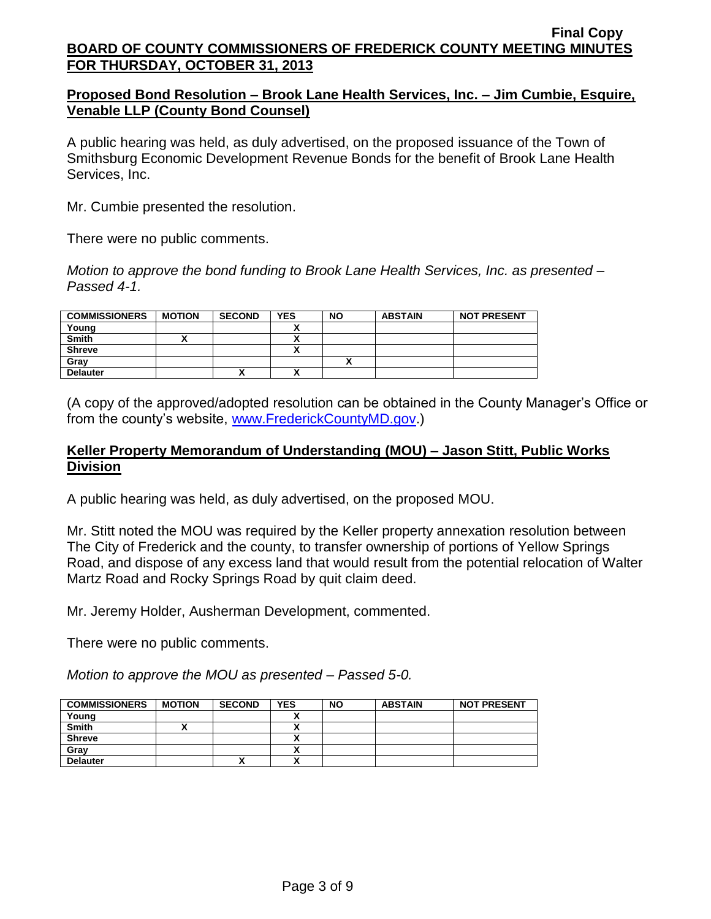## **Proposed Bond Resolution – Brook Lane Health Services, Inc. – Jim Cumbie, Esquire, Venable LLP (County Bond Counsel)**

A public hearing was held, as duly advertised, on the proposed issuance of the Town of Smithsburg Economic Development Revenue Bonds for the benefit of Brook Lane Health Services, Inc.

Mr. Cumbie presented the resolution.

There were no public comments.

*Motion to approve the bond funding to Brook Lane Health Services, Inc. as presented – Passed 4-1.*

| <b>COMMISSIONERS</b> | <b>MOTION</b> | <b>SECOND</b> | <b>YES</b> | <b>NO</b> | <b>ABSTAIN</b> | <b>NOT PRESENT</b> |
|----------------------|---------------|---------------|------------|-----------|----------------|--------------------|
| Young                |               |               |            |           |                |                    |
| <b>Smith</b>         |               |               | ↗          |           |                |                    |
| <b>Shreve</b>        |               |               | ٠.<br>~    |           |                |                    |
| Grav                 |               |               |            |           |                |                    |
| <b>Delauter</b>      |               |               | ٠.<br>^    |           |                |                    |

(A copy of the approved/adopted resolution can be obtained in the County Manager's Office or from the county's website, [www.FrederickCountyMD.gov.](http://www.frederickcountymd.gov/))

### **Keller Property Memorandum of Understanding (MOU) – Jason Stitt, Public Works Division**

A public hearing was held, as duly advertised, on the proposed MOU.

Mr. Stitt noted the MOU was required by the Keller property annexation resolution between The City of Frederick and the county, to transfer ownership of portions of Yellow Springs Road, and dispose of any excess land that would result from the potential relocation of Walter Martz Road and Rocky Springs Road by quit claim deed.

Mr. Jeremy Holder, Ausherman Development, commented.

There were no public comments.

*Motion to approve the MOU as presented – Passed 5-0.*

| <b>COMMISSIONERS</b> | <b>MOTION</b> | <b>SECOND</b> | <b>YES</b>               | <b>NO</b> | <b>ABSTAIN</b> | <b>NOT PRESENT</b> |
|----------------------|---------------|---------------|--------------------------|-----------|----------------|--------------------|
| Young                |               |               |                          |           |                |                    |
| <b>Smith</b>         |               |               |                          |           |                |                    |
| <b>Shreve</b>        |               |               |                          |           |                |                    |
| Gray                 |               |               |                          |           |                |                    |
| <b>Delauter</b>      |               | Λ             | $\overline{\phantom{a}}$ |           |                |                    |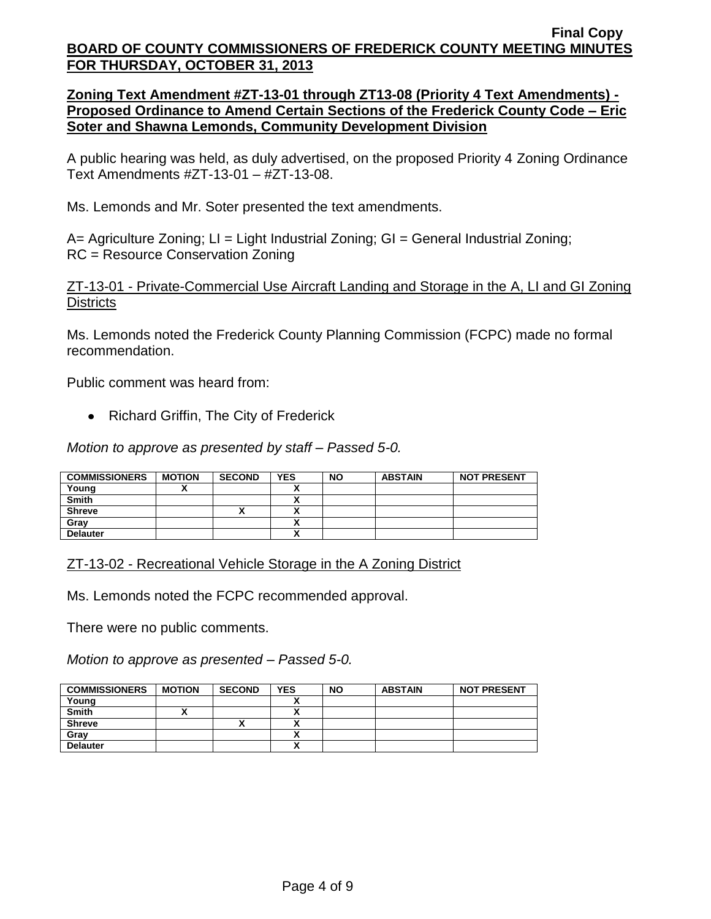**Zoning Text Amendment #ZT-13-01 through ZT13-08 (Priority 4 Text Amendments) - Proposed Ordinance to Amend Certain Sections of the Frederick County Code – Eric Soter and Shawna Lemonds, Community Development Division**

A public hearing was held, as duly advertised, on the proposed Priority 4 Zoning Ordinance Text Amendments #ZT-13-01 – #ZT-13-08.

Ms. Lemonds and Mr. Soter presented the text amendments.

A= Agriculture Zoning; LI = Light Industrial Zoning; GI = General Industrial Zoning; RC = Resource Conservation Zoning

ZT-13-01 - Private-Commercial Use Aircraft Landing and Storage in the A, LI and GI Zoning **Districts** 

Ms. Lemonds noted the Frederick County Planning Commission (FCPC) made no formal recommendation.

Public comment was heard from:

• Richard Griffin, The City of Frederick

*Motion to approve as presented by staff – Passed 5-0.*

| <b>COMMISSIONERS</b> | <b>MOTION</b> | <b>SECOND</b> | <b>YES</b> | <b>NO</b> | <b>ABSTAIN</b> | <b>NOT PRESENT</b> |
|----------------------|---------------|---------------|------------|-----------|----------------|--------------------|
| Young                |               |               |            |           |                |                    |
| <b>Smith</b>         |               |               |            |           |                |                    |
| <b>Shreve</b>        |               |               |            |           |                |                    |
| Grav                 |               |               | ↗          |           |                |                    |
| <b>Delauter</b>      |               |               | ,,         |           |                |                    |

## ZT-13-02 - Recreational Vehicle Storage in the A Zoning District

Ms. Lemonds noted the FCPC recommended approval.

There were no public comments.

*Motion to approve as presented – Passed 5-0.*

| <b>COMMISSIONERS</b> | <b>MOTION</b> | <b>SECOND</b> | <b>YES</b> | <b>NO</b> | <b>ABSTAIN</b> | <b>NOT PRESENT</b> |
|----------------------|---------------|---------------|------------|-----------|----------------|--------------------|
| Young                |               |               |            |           |                |                    |
| <b>Smith</b>         |               |               |            |           |                |                    |
| <b>Shreve</b>        |               |               |            |           |                |                    |
| Gray                 |               |               |            |           |                |                    |
| <b>Delauter</b>      |               |               | $\cdot$    |           |                |                    |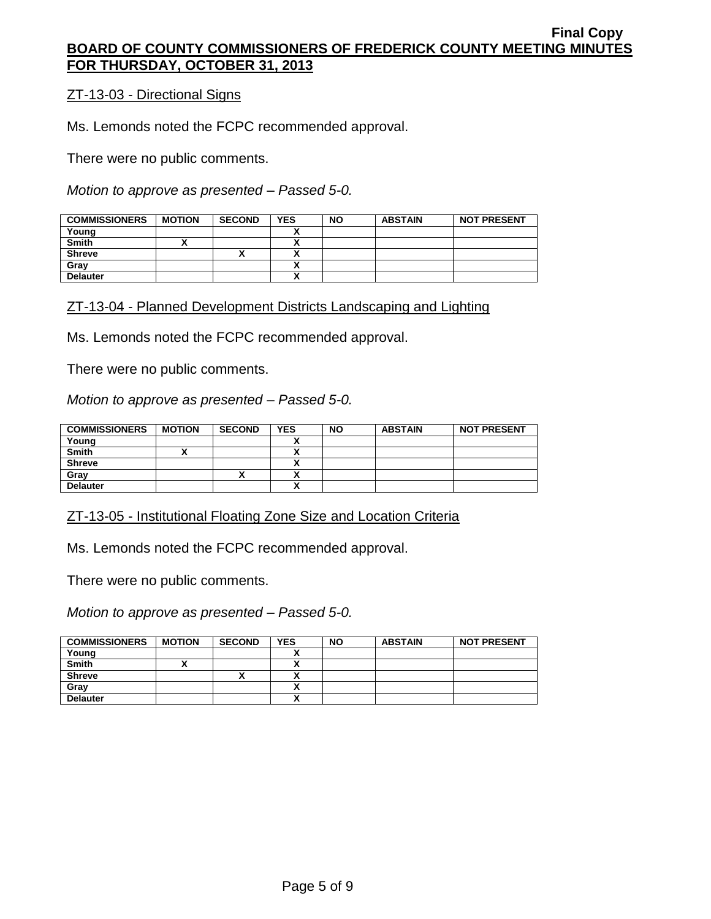## ZT-13-03 - Directional Signs

Ms. Lemonds noted the FCPC recommended approval.

There were no public comments.

*Motion to approve as presented – Passed 5-0.*

| <b>COMMISSIONERS</b> | <b>MOTION</b> | <b>SECOND</b> | <b>YES</b> | <b>NO</b> | <b>ABSTAIN</b> | <b>NOT PRESENT</b> |
|----------------------|---------------|---------------|------------|-----------|----------------|--------------------|
| Young                |               |               |            |           |                |                    |
| <b>Smith</b>         |               |               |            |           |                |                    |
| <b>Shreve</b>        |               |               | `          |           |                |                    |
| Gray                 |               |               |            |           |                |                    |
| <b>Delauter</b>      |               |               |            |           |                |                    |

### ZT-13-04 - Planned Development Districts Landscaping and Lighting

Ms. Lemonds noted the FCPC recommended approval.

There were no public comments.

*Motion to approve as presented – Passed 5-0.*

| <b>COMMISSIONERS</b> | <b>MOTION</b> | <b>SECOND</b> | <b>YES</b> | <b>NO</b> | <b>ABSTAIN</b> | <b>NOT PRESENT</b> |
|----------------------|---------------|---------------|------------|-----------|----------------|--------------------|
| Young                |               |               |            |           |                |                    |
| <b>Smith</b>         |               |               | ~          |           |                |                    |
| <b>Shreve</b>        |               |               | Λ          |           |                |                    |
| Gray                 |               | "             |            |           |                |                    |
| <b>Delauter</b>      |               |               | v          |           |                |                    |

ZT-13-05 - Institutional Floating Zone Size and Location Criteria

Ms. Lemonds noted the FCPC recommended approval.

There were no public comments.

*Motion to approve as presented – Passed 5-0.*

| <b>COMMISSIONERS</b> | <b>MOTION</b> | <b>SECOND</b> | <b>YES</b> | <b>NO</b> | <b>ABSTAIN</b> | <b>NOT PRESENT</b> |
|----------------------|---------------|---------------|------------|-----------|----------------|--------------------|
| Young                |               |               |            |           |                |                    |
| <b>Smith</b>         |               |               |            |           |                |                    |
| <b>Shreve</b>        |               |               |            |           |                |                    |
| Gray                 |               |               |            |           |                |                    |
| <b>Delauter</b>      |               |               | ,,         |           |                |                    |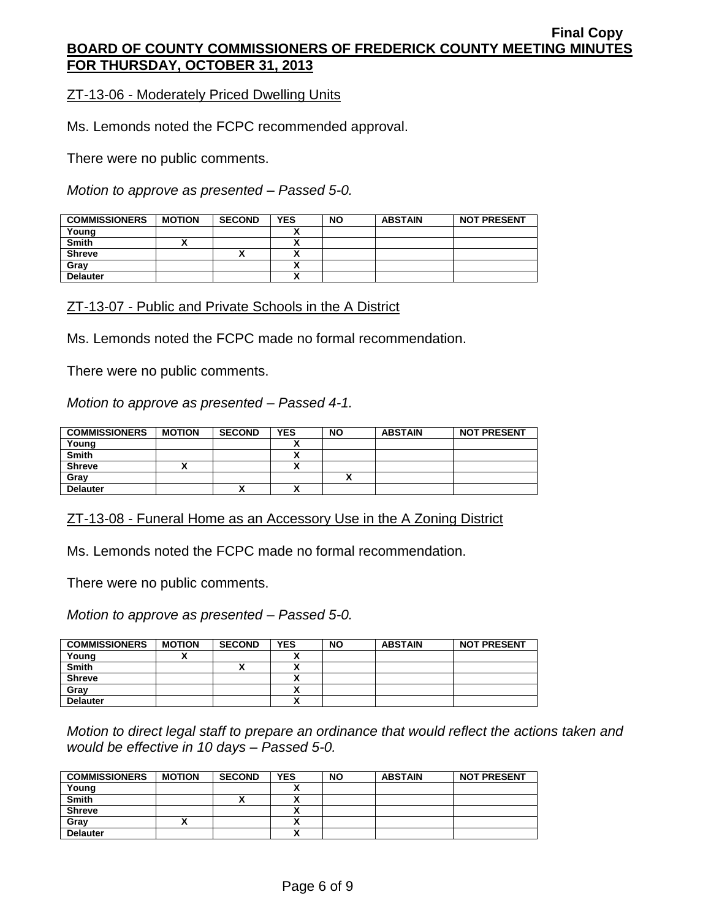ZT-13-06 - Moderately Priced Dwelling Units

Ms. Lemonds noted the FCPC recommended approval.

There were no public comments.

*Motion to approve as presented – Passed 5-0.*

| <b>COMMISSIONERS</b> | <b>MOTION</b> | <b>SECOND</b> | <b>YES</b> | <b>NO</b> | <b>ABSTAIN</b> | <b>NOT PRESENT</b> |
|----------------------|---------------|---------------|------------|-----------|----------------|--------------------|
| Young                |               |               |            |           |                |                    |
| <b>Smith</b>         |               |               |            |           |                |                    |
| <b>Shreve</b>        |               | ↗             |            |           |                |                    |
| Gray                 |               |               |            |           |                |                    |
| <b>Delauter</b>      |               |               | v          |           |                |                    |

### ZT-13-07 - Public and Private Schools in the A District

Ms. Lemonds noted the FCPC made no formal recommendation.

There were no public comments.

*Motion to approve as presented – Passed 4-1.*

| <b>COMMISSIONERS</b> | <b>MOTION</b> | <b>SECOND</b> | <b>YES</b>           | <b>NO</b> | <b>ABSTAIN</b> | <b>NOT PRESENT</b> |
|----------------------|---------------|---------------|----------------------|-----------|----------------|--------------------|
| Young                |               |               |                      |           |                |                    |
| <b>Smith</b>         |               |               |                      |           |                |                    |
| <b>Shreve</b>        |               |               |                      |           |                |                    |
| Grav                 |               |               |                      |           |                |                    |
| <b>Delauter</b>      |               | Λ             | $\ddot{\phantom{1}}$ |           |                |                    |

ZT-13-08 - Funeral Home as an Accessory Use in the A Zoning District

Ms. Lemonds noted the FCPC made no formal recommendation.

There were no public comments.

*Motion to approve as presented – Passed 5-0.*

| <b>COMMISSIONERS</b> | <b>MOTION</b> | <b>SECOND</b> | <b>YES</b> | <b>NO</b> | <b>ABSTAIN</b> | <b>NOT PRESENT</b> |
|----------------------|---------------|---------------|------------|-----------|----------------|--------------------|
| Young                |               |               |            |           |                |                    |
| <b>Smith</b>         |               |               |            |           |                |                    |
| <b>Shreve</b>        |               |               |            |           |                |                    |
| Grav                 |               |               |            |           |                |                    |
| <b>Delauter</b>      |               |               |            |           |                |                    |

*Motion to direct legal staff to prepare an ordinance that would reflect the actions taken and would be effective in 10 days – Passed 5-0.*

| <b>COMMISSIONERS</b> | <b>MOTION</b> | <b>SECOND</b> | <b>YES</b> | <b>NO</b> | <b>ABSTAIN</b> | <b>NOT PRESENT</b> |
|----------------------|---------------|---------------|------------|-----------|----------------|--------------------|
| Young                |               |               |            |           |                |                    |
| <b>Smith</b>         |               | ,,            |            |           |                |                    |
| <b>Shreve</b>        |               |               |            |           |                |                    |
| Grav                 |               |               |            |           |                |                    |
| <b>Delauter</b>      |               |               |            |           |                |                    |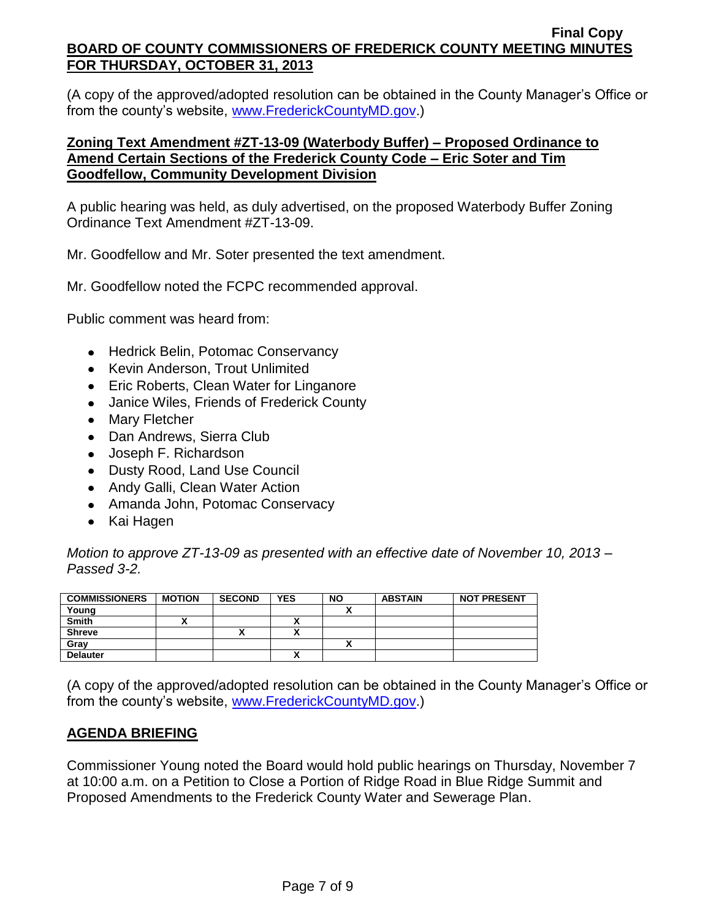(A copy of the approved/adopted resolution can be obtained in the County Manager's Office or from the county's website, [www.FrederickCountyMD.gov.](http://www.frederickcountymd.gov/))

## **Zoning Text Amendment #ZT-13-09 (Waterbody Buffer) – Proposed Ordinance to Amend Certain Sections of the Frederick County Code – Eric Soter and Tim Goodfellow, Community Development Division**

A public hearing was held, as duly advertised, on the proposed Waterbody Buffer Zoning Ordinance Text Amendment #ZT-13-09.

Mr. Goodfellow and Mr. Soter presented the text amendment.

Mr. Goodfellow noted the FCPC recommended approval.

Public comment was heard from:

- Hedrick Belin, Potomac Conservancy
- Kevin Anderson, Trout Unlimited
- Eric Roberts, Clean Water for Linganore
- Janice Wiles, Friends of Frederick County
- Mary Fletcher
- Dan Andrews, Sierra Club
- Joseph F. Richardson
- Dusty Rood, Land Use Council
- Andy Galli, Clean Water Action
- Amanda John, Potomac Conservacy
- Kai Hagen

*Motion to approve ZT-13-09 as presented with an effective date of November 10, 2013 – Passed 3-2.*

| <b>COMMISSIONERS</b> | <b>MOTION</b> | <b>SECOND</b> | <b>YES</b> | <b>NO</b> | <b>ABSTAIN</b> | <b>NOT PRESENT</b> |
|----------------------|---------------|---------------|------------|-----------|----------------|--------------------|
| Young                |               |               |            |           |                |                    |
| Smith                |               |               |            |           |                |                    |
| <b>Shreve</b>        |               |               |            |           |                |                    |
| Gray                 |               |               |            |           |                |                    |
| <b>Delauter</b>      |               |               | ~          |           |                |                    |

(A copy of the approved/adopted resolution can be obtained in the County Manager's Office or from the county's website, [www.FrederickCountyMD.gov.](http://www.frederickcountymd.gov/))

# **AGENDA BRIEFING**

Commissioner Young noted the Board would hold public hearings on Thursday, November 7 at 10:00 a.m. on a Petition to Close a Portion of Ridge Road in Blue Ridge Summit and Proposed Amendments to the Frederick County Water and Sewerage Plan.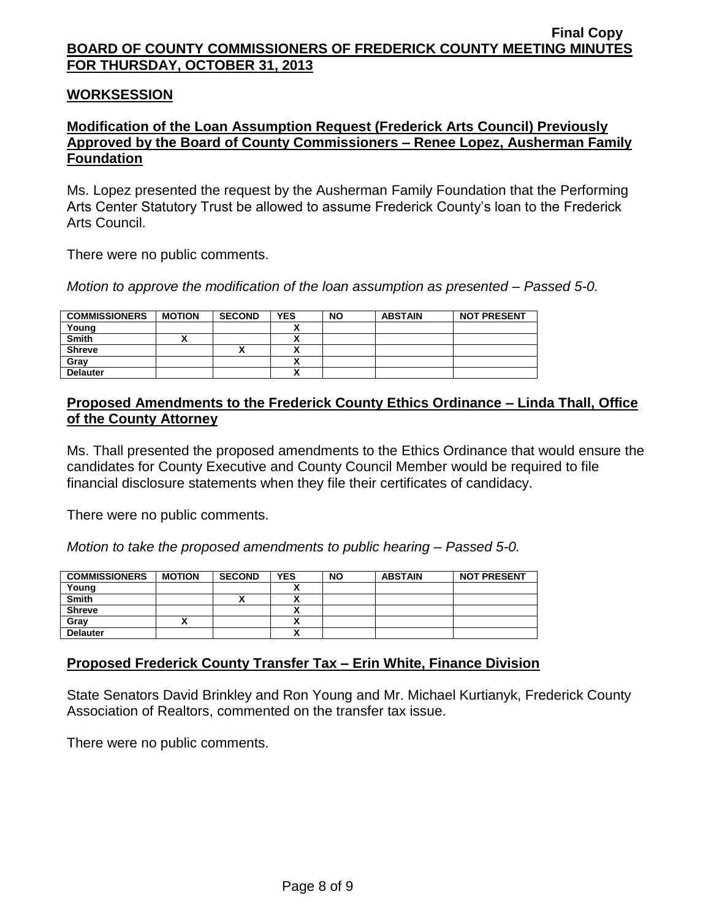### **WORKSESSION**

## **Modification of the Loan Assumption Request (Frederick Arts Council) Previously Approved by the Board of County Commissioners – Renee Lopez, Ausherman Family Foundation**

Ms. Lopez presented the request by the Ausherman Family Foundation that the Performing Arts Center Statutory Trust be allowed to assume Frederick County's loan to the Frederick Arts Council.

There were no public comments.

*Motion to approve the modification of the loan assumption as presented – Passed 5-0.*

| <b>COMMISSIONERS</b> | <b>MOTION</b> | <b>SECOND</b> | <b>YES</b>                | <b>NO</b> | <b>ABSTAIN</b> | <b>NOT PRESENT</b> |
|----------------------|---------------|---------------|---------------------------|-----------|----------------|--------------------|
| Young                |               |               |                           |           |                |                    |
| <b>Smith</b>         |               |               | ↗                         |           |                |                    |
| <b>Shreve</b>        |               |               | $\ddot{\phantom{1}}$<br>^ |           |                |                    |
| Grav                 |               |               | ^                         |           |                |                    |
| <b>Delauter</b>      |               |               | ^                         |           |                |                    |

## **Proposed Amendments to the Frederick County Ethics Ordinance – Linda Thall, Office of the County Attorney**

Ms. Thall presented the proposed amendments to the Ethics Ordinance that would ensure the candidates for County Executive and County Council Member would be required to file financial disclosure statements when they file their certificates of candidacy.

There were no public comments.

*Motion to take the proposed amendments to public hearing – Passed 5-0.*

| <b>COMMISSIONERS</b> | <b>MOTION</b> | <b>SECOND</b> | <b>YES</b> | <b>NO</b> | <b>ABSTAIN</b> | <b>NOT PRESENT</b> |
|----------------------|---------------|---------------|------------|-----------|----------------|--------------------|
| Young                |               |               |            |           |                |                    |
| <b>Smith</b>         |               | "             |            |           |                |                    |
| <b>Shreve</b>        |               |               | ,,         |           |                |                    |
| Gray                 |               |               | n          |           |                |                    |
| <b>Delauter</b>      |               |               | n          |           |                |                    |

## **Proposed Frederick County Transfer Tax – Erin White, Finance Division**

State Senators David Brinkley and Ron Young and Mr. Michael Kurtianyk, Frederick County Association of Realtors, commented on the transfer tax issue.

There were no public comments.